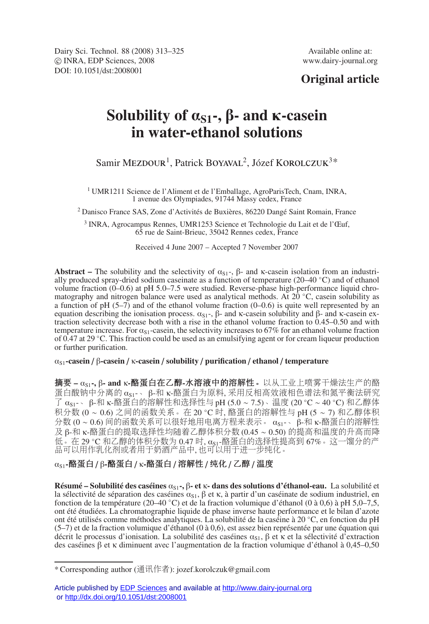Dairy Sci. Technol. 88 (2008) 313–325 Available online at: -c INRA, EDP Sciences, 2008 www.dairy-journal.org DOI: 10.1051/dst:2008001

# **Original article**

# **Solubility of** α**S1-,** β**- and** κ**-casein in water-ethanol solutions**

Samir MEZDOUR<sup>1</sup>, Patrick BOYAVAL<sup>2</sup>, Józef KOROLCZUK<sup>3\*</sup>

<sup>1</sup> UMR1211 Science de l'Aliment et de l'Emballage, AgroParisTech, Cnam, INRA, 1 avenue des Olympiades, 91744 Massy cedex, France

<sup>2</sup> Danisco France SAS, Zone d'Activités de Buxières, 86220 Dangé Saint Romain, France

<sup>3</sup> INRA, Agrocampus Rennes, UMR1253 Science et Technologie du Lait et de l'Œuf, 65 rue de Saint-Brieuc, 35042 Rennes cedex, France

Received 4 June 2007 – Accepted 7 November 2007

**Abstract** – The solubility and the selectivity of  $\alpha_{S1}$ -,  $\beta$ - and κ-casein isolation from an industrially produced spray-dried sodium caseinate as a function of temperature (20–40 ◦C) and of ethanol volume fraction (0–0.6) at pH 5.0–7.5 were studied. Reverse-phase high-performance liquid chromatography and nitrogen balance were used as analytical methods. At 20 ◦C, casein solubility as a function of pH  $(5-7)$  and of the ethanol volume fraction  $(0-0.6)$  is quite well represented by an equation describing the ionisation process.  $\alpha_{S1}$ -, β- and κ-casein solubility and β- and κ-casein extraction selectivity decrease both with a rise in the ethanol volume fraction to 0.45–0.50 and with temperature increase. For  $\alpha_{s1}$ -casein, the selectivity increases to 67% for an ethanol volume fraction of 0.47 at 29 ◦C. This fraction could be used as an emulsifying agent or for cream liqueur production or further purification.

#### αS1**-casein** / β**-casein** / κ**-casein** / **solubility** / **purification** / **ethanol** / **temperature**

摘要 **–** αS1**-,** β**- and** κ**-**酪蛋白在乙醇**-**水溶液中的溶解性。以从工业上喷雾干燥法生产的酪 蛋白酸钠中分离的  $\alpha_{S1}$ -、β-和 κ-酪蛋白为原料, 采用反相高效液相色谱法和氮平衡法研究<br>了  $\alpha_{S1}$ -、β-和 κ-酪蛋白的溶解性和选择性与 pH (5.0 ~ 7.5)、温度 (20 ℃ ~ 40 ℃) 和乙醇体 了 α<sub>s1</sub>-、β-和 κ-酪蛋白的溶解性和选择性与 pH (5.0 ~ 7.5)、温度 (20 °C ~ 40 °C) 和乙醇体<br>积分数 ω ~ 0.6) 之间的函数关系。在 20 °C 时 酪蛋白的溶解性与 pH (5 ~ 7) 和乙醇体和 积分数 (0 ∼ 0.6) 之间的函数关系。在 20 ℃ 时, 酪蛋白的溶解性与 pH (5 ∼ 7) 和乙醇体积<br>分数 (0 ∼ 0 6) 间的函数关系可以很好地用电离方程来表示 。α。。。。8.和 κ-酪蛋白的溶解性 分数 (0 ∼ 0.6) 间的函数关系可以很好地用电离方程来表示。 α<sub>s1</sub>-、 β-和 κ-酪蛋白的溶解性<br>及 β-和 κ-酪蛋白的提取选择性均随着乙醇体积分数 (0.45 ∼ 0.50) 的提高和温度的升高而降 及 β-和 κ-酪蛋白的提取选择性均随着乙醇体积分数 (0.45 ∼ 0.50) 的提高和温度的升高而降<br>低。在 29 ℃ 和乙醇的体积分数为 0.47 时, α<sub>S1</sub>-酪蛋白的选择性提高到 67%。这一馏分的产 品可以用作乳化剂或者用于奶酒产品中, 也可以用于进一步纯化。

### αS1**-**酪蛋白 / β**-**酪蛋白 / κ**-**酪蛋白 / 溶解性 / 纯化 / 乙醇 / 温度

**Résumé – Solubilité des caséines** α<sub>S1</sub>-, β- et κ- dans des solutions d'éthanol-eau. La solubilité et la sélectivité de séparation des caséines  $\alpha_{S1}$ , β et κ, à partir d'un caséinate de sodium industriel, en fonction de la température (20–40 ◦C) et de la fraction volumique d'éthanol (0 à 0,6) à pH 5,0–7,5, ont été étudiées. La chromatographie liquide de phase inverse haute performance et le bilan d'azote ont été utilisés comme méthodes analytiques. La solubilité de la caséine à 20 ◦C, en fonction du pH (5–7) et de la fraction volumique d'éthanol (0 à 0,6), est assez bien représentée par une équation qui décrit le processus d'ionisation. La solubilité des caséines  $\alpha_{s1}$ , β et κ et la sélectivité d'extraction des caséines β et κ diminuent avec l'augmentation de la fraction volumique d'éthanol à 0,45–0,50

<sup>\*</sup> Corresponding author (通讯作者): jozef.korolczuk@gmail.com

Article published by **EDP Sciences** and available at <http://www.dairy-journal.org> or<http://dx.doi.org/10.1051/dst:2008001>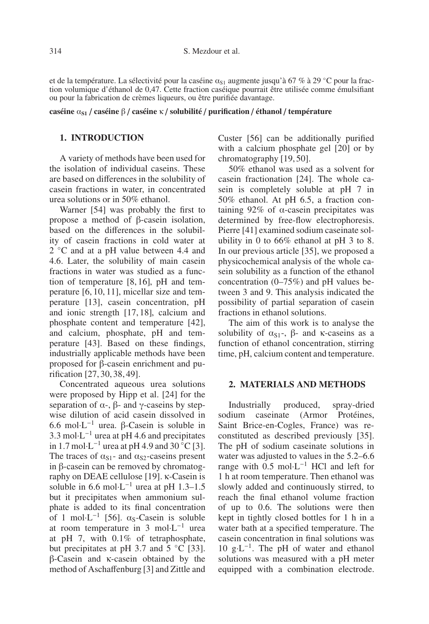et de la température. La sélectivité pour la caséine  $\alpha_{S1}$  augmente jusqu'à 67 % à 29 °C pour la fraction volumique d'éthanol de 0,47. Cette fraction caséique pourrait être utilisée comme émulsifiant ou pour la fabrication de crèmes liqueurs, ou être purifiée davantage.

**caséine** α**S1** / **caséine** β / **caséine** κ / **solubilité** / **purification** / **éthanol** / **température**

## **1. INTRODUCTION**

A variety of methods have been used for the isolation of individual caseins. These are based on differences in the solubility of casein fractions in water, in concentrated urea solutions or in 50% ethanol.

Warner [54] was probably the first to propose a method of β-casein isolation, based on the differences in the solubility of casein fractions in cold water at 2 °C and at a pH value between 4.4 and 4.6. Later, the solubility of main casein fractions in water was studied as a function of temperature [8, 16], pH and temperature [6, 10, 11], micellar size and temperature [13], casein concentration, pH and ionic strength [17, 18], calcium and phosphate content and temperature [42], and calcium, phosphate, pH and temperature [43]. Based on these findings, industrially applicable methods have been proposed for β-casein enrichment and purification [27, 30, 38, 49].

Concentrated aqueous urea solutions were proposed by Hipp et al. [24] for the separation of  $\alpha$ -,  $\beta$ - and  $\gamma$ -caseins by stepwise dilution of acid casein dissolved in 6.6 mol·L−<sup>1</sup> urea. β-Casein is soluble in 3.3 mol·L−<sup>1</sup> urea at pH 4.6 and precipitates in 1.7 mol⋅L<sup>-1</sup> urea at pH 4.9 and 30 °C [3]. The traces of  $\alpha_{S1}$ - and  $\alpha_{S2}$ -caseins present in β-casein can be removed by chromatography on DEAE cellulose [19]. κ-Casein is soluble in 6.6 mol⋅L<sup>-1</sup> urea at pH 1.3–1.5 but it precipitates when ammonium sulphate is added to its final concentration of 1 mol⋅L<sup>-1</sup> [56].  $\alpha_s$ -Casein is soluble at room temperature in 3 mol·L−<sup>1</sup> urea at pH 7, with 0.1% of tetraphosphate, but precipitates at pH 3.7 and 5 ◦C [33]. β-Casein and κ-casein obtained by the method of Aschaffenburg [3] and Zittle and Custer [56] can be additionally purified with a calcium phosphate gel [20] or by chromatography [19, 50].

50% ethanol was used as a solvent for casein fractionation [24]. The whole casein is completely soluble at pH 7 in 50% ethanol. At pH 6.5, a fraction containing 92% of  $α$ -casein precipitates was determined by free-flow electrophoresis. Pierre [41] examined sodium caseinate solubility in 0 to 66% ethanol at pH 3 to 8. In our previous article [35], we proposed a physicochemical analysis of the whole casein solubility as a function of the ethanol concentration (0–75%) and pH values between 3 and 9. This analysis indicated the possibility of partial separation of casein fractions in ethanol solutions.

The aim of this work is to analyse the solubility of  $\alpha_{S1}$ -,  $\beta$ - and κ-caseins as a function of ethanol concentration, stirring time, pH, calcium content and temperature.

#### **2. MATERIALS AND METHODS**

Industrially produced, spray-dried sodium caseinate (Armor Protéines, Saint Brice-en-Cogles, France) was reconstituted as described previously [35]. The pH of sodium caseinate solutions in water was adjusted to values in the 5.2–6.6 range with 0.5 mol·L−<sup>1</sup> HCl and left for 1 h at room temperature. Then ethanol was slowly added and continuously stirred, to reach the final ethanol volume fraction of up to 0.6. The solutions were then kept in tightly closed bottles for 1 h in a water bath at a specified temperature. The casein concentration in final solutions was 10 g⋅L<sup>-1</sup>. The pH of water and ethanol solutions was measured with a pH meter equipped with a combination electrode.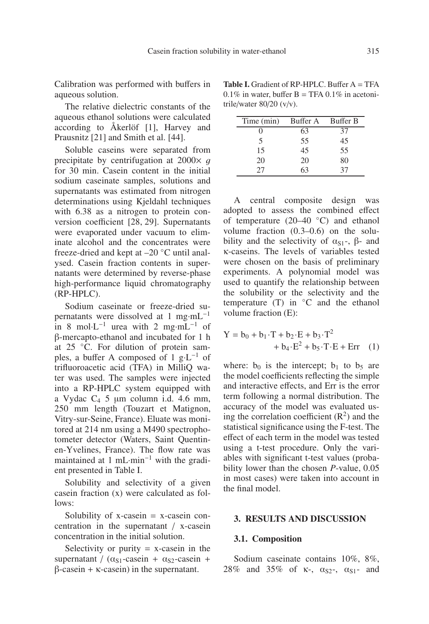Calibration was performed with buffers in aqueous solution.

The relative dielectric constants of the aqueous ethanol solutions were calculated according to Åkerlöf [1], Harvey and Prausnitz [21] and Smith et al. [44].

Soluble caseins were separated from precipitate by centrifugation at  $2000 \times q$ for 30 min. Casein content in the initial sodium caseinate samples, solutions and supernatants was estimated from nitrogen determinations using Kjeldahl techniques with 6.38 as a nitrogen to protein conversion coefficient [28, 29]. Supernatants were evaporated under vacuum to eliminate alcohol and the concentrates were freeze-dried and kept at –20 ◦C until analysed. Casein fraction contents in supernatants were determined by reverse-phase high-performance liquid chromatography (RP-HPLC).

Sodium caseinate or freeze-dried supernatants were dissolved at 1 mg·mL−<sup>1</sup> in 8 mol⋅L<sup>-1</sup> urea with 2 mg⋅mL<sup>-1</sup> of β-mercapto-ethanol and incubated for 1 h at 25 ◦C. For dilution of protein samples, a buffer A composed of 1 g⋅L<sup>-1</sup> of trifluoroacetic acid (TFA) in MilliQ water was used. The samples were injected into a RP-HPLC system equipped with a Vydac  $C_4$  5 μm column i.d. 4.6 mm, 250 mm length (Touzart et Matignon, Vitry-sur-Seine, France). Eluate was monitored at 214 nm using a M490 spectrophotometer detector (Waters, Saint Quentinen-Yvelines, France). The flow rate was maintained at 1 mL·min−<sup>1</sup> with the gradient presented in Table I.

Solubility and selectivity of a given casein fraction (x) were calculated as follows:

Solubility of  $x$ -casein =  $x$ -casein concentration in the supernatant / x-casein concentration in the initial solution.

Selectivity or purity  $= x$ -casein in the supernatant /  $(\alpha_{S1}$ -casein +  $\alpha_{S2}$ -casein +  $β$ -casein + κ-casein) in the supernatant.

**Table I.** Gradient of RP-HPLC. Buffer A = TFA  $0.1\%$  in water, buffer B = TFA  $0.1\%$  in acetonitrile/water 80/20 (v/v).

| Time (min) | Buffer A | Buffer B |
|------------|----------|----------|
|            | 63       | 37       |
| 5          | 55       | 45       |
| 15         | 45       | 55       |
| 20         | 20       | 80       |
| 77         | 63       | 37       |

A central composite design was adopted to assess the combined effect of temperature  $(20-40 °C)$  and ethanol volume fraction (0.3–0.6) on the solubility and the selectivity of  $\alpha_{S1}$ -,  $\beta$ - and κ-caseins. The levels of variables tested were chosen on the basis of preliminary experiments. A polynomial model was used to quantify the relationship between the solubility or the selectivity and the temperature (T) in ◦C and the ethanol volume fraction (E):

$$
Y = b_0 + b_1 \cdot T + b_2 \cdot E + b_3 \cdot T^2
$$
  
+ b<sub>4</sub> \cdot E<sup>2</sup> + b<sub>5</sub> \cdot T \cdot E + Err (1)

where:  $b_0$  is the intercept;  $b_1$  to  $b_5$  are the model coefficients reflecting the simple and interactive effects, and Err is the error term following a normal distribution. The accuracy of the model was evaluated using the correlation coefficient  $(R<sup>2</sup>)$  and the statistical significance using the F-test. The effect of each term in the model was tested using a t-test procedure. Only the variables with significant t-test values (probability lower than the chosen *P*-value, 0.05 in most cases) were taken into account in the final model.

#### **3. RESULTS AND DISCUSSION**

#### **3.1. Composition**

Sodium caseinate contains 10%, 8%, 28% and 35% of  $\kappa$ -,  $\alpha_{S2}$ -,  $\alpha_{S1}$ - and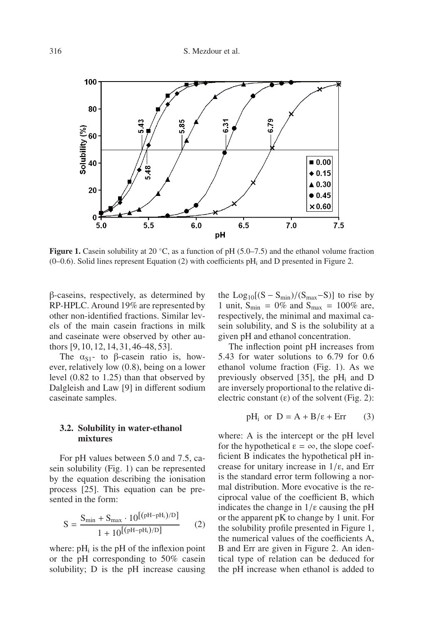

**Figure 1.** Casein solubility at 20 ℃, as a function of pH (5.0–7.5) and the ethanol volume fraction  $(0-0.6)$ . Solid lines represent Equation (2) with coefficients pH<sub>i</sub> and D presented in Figure 2.

β-caseins, respectively, as determined by RP-HPLC. Around 19% are represented by other non-identified fractions. Similar levels of the main casein fractions in milk and caseinate were observed by other authors [9, 10, 12, 14, 31, 46–48, 53].

The  $\alpha_{S1}$ - to β-casein ratio is, however, relatively low (0.8), being on a lower level (0.82 to 1.25) than that observed by Dalgleish and Law [9] in different sodium caseinate samples.

#### **3.2. Solubility in water-ethanol mixtures**

For pH values between 5.0 and 7.5, casein solubility (Fig. 1) can be represented by the equation describing the ionisation process [25]. This equation can be presented in the form:

$$
S = \frac{S_{\min} + S_{\max} \cdot 10^{[(pH - pH_i)/D]}}{1 + 10^{[(pH - pH_i)/D]}}
$$
(2)

where:  $pH_i$  is the pH of the inflexion point or the pH corresponding to 50% casein solubility; D is the pH increase causing

the  $Log_{10}[(S - S_{min})/(S_{max} - S)]$  to rise by 1 unit,  $S_{\text{min}} = 0\%$  and  $S_{\text{max}} = 100\%$  are, respectively, the minimal and maximal casein solubility, and S is the solubility at a given pH and ethanol concentration.

The inflection point pH increases from 5.43 for water solutions to 6.79 for 0.6 ethanol volume fraction (Fig. 1). As we previously observed [35], the  $pH_i$  and D are inversely proportional to the relative dielectric constant  $(\varepsilon)$  of the solvent (Fig. 2):

$$
pH_i \text{ or } D = A + B/\varepsilon + Err \qquad (3)
$$

where: A is the intercept or the pH level for the hypothetical  $\varepsilon = \infty$ , the slope coefficient B indicates the hypothetical pH increase for unitary increase in 1/ε, and Err is the standard error term following a normal distribution. More evocative is the reciprocal value of the coefficient B, which indicates the change in  $1/\epsilon$  causing the pH or the apparent pK to change by 1 unit. For the solubility profile presented in Figure 1, the numerical values of the coefficients A, B and Err are given in Figure 2. An identical type of relation can be deduced for the pH increase when ethanol is added to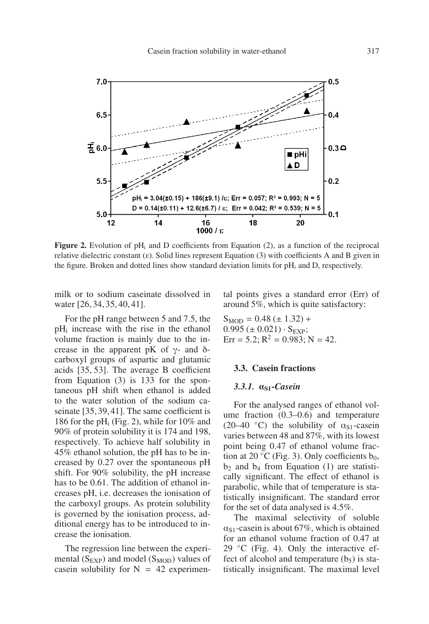

**Figure 2.** Evolution of  $pH_i$  and D coefficients from Equation (2), as a function of the reciprocal relative dielectric constant (ε). Solid lines represent Equation (3) with coefficients A and B given in the figure. Broken and dotted lines show standard deviation limits for  $pH_i$  and D, respectively.

milk or to sodium caseinate dissolved in water [26, 34, 35, 40, 41].

For the pH range between 5 and 7.5, the pHi increase with the rise in the ethanol volume fraction is mainly due to the increase in the apparent pK of  $γ$ - and δcarboxyl groups of aspartic and glutamic acids [35, 53]. The average B coefficient from Equation (3) is 133 for the spontaneous pH shift when ethanol is added to the water solution of the sodium caseinate [35,39,41]. The same coefficient is 186 for the pH<sub>i</sub> (Fig. 2), while for  $10\%$  and 90% of protein solubility it is 174 and 198, respectively. To achieve half solubility in 45% ethanol solution, the pH has to be increased by 0.27 over the spontaneous pH shift. For 90% solubility, the pH increase has to be 0.61. The addition of ethanol increases pH, i.e. decreases the ionisation of the carboxyl groups. As protein solubility is governed by the ionisation process, additional energy has to be introduced to increase the ionisation.

The regression line between the experimental  $(S_{EXP})$  and model  $(S_{MOD})$  values of casein solubility for  $N = 42$  experimental points gives a standard error (Err) of around 5%, which is quite satisfactory:

 $S<sub>MOD</sub> = 0.48 (\pm 1.32) +$  $0.995 (\pm 0.021) \cdot S_{EXP}$ ; Err = 5.2;  $R^2$  = 0.983; N = 42.

#### **3.3. Casein fractions**

#### *3.3.1.* α**S1***-Casein*

For the analysed ranges of ethanol volume fraction (0.3–0.6) and temperature (20–40 °C) the solubility of  $\alpha_{S1}$ -casein varies between 48 and 87%, with its lowest point being 0.47 of ethanol volume fraction at 20  $\rm{^{\circ}C}$  (Fig. 3). Only coefficients b<sub>0</sub>,  $b_2$  and  $b_4$  from Equation (1) are statistically significant. The effect of ethanol is parabolic, while that of temperature is statistically insignificant. The standard error for the set of data analysed is 4.5%.

The maximal selectivity of soluble  $\alpha_{S1}$ -casein is about 67%, which is obtained for an ethanol volume fraction of 0.47 at 29  $°C$  (Fig. 4). Only the interactive effect of alcohol and temperature  $(b_5)$  is statistically insignificant. The maximal level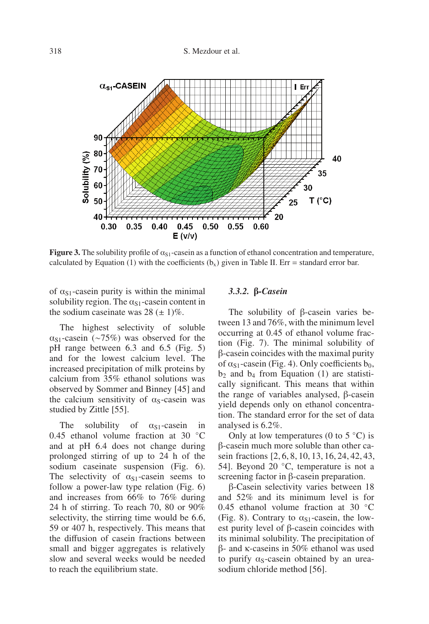

**Figure 3.** The solubility profile of  $\alpha_{S1}$ -casein as a function of ethanol concentration and temperature, calculated by Equation (1) with the coefficients  $(b_x)$  given in Table II. Err = standard error bar.

of  $\alpha_{S1}$ -casein purity is within the minimal solubility region. The  $\alpha_{S1}$ -casein content in the sodium caseinate was  $28 (\pm 1)\%$ .

The highest selectivity of soluble  $\alpha_{S1}$ -casein (∼75%) was observed for the pH range between 6.3 and 6.5 (Fig. 5) and for the lowest calcium level. The increased precipitation of milk proteins by calcium from 35% ethanol solutions was observed by Sommer and Binney [45] and the calcium sensitivity of  $\alpha_s$ -casein was studied by Zittle [55].

The solubility of  $\alpha_{S1}$ -casein in 0.45 ethanol volume fraction at 30 °C and at pH 6.4 does not change during prolonged stirring of up to 24 h of the sodium caseinate suspension (Fig. 6). The selectivity of  $\alpha_{S1}$ -casein seems to follow a power-law type relation (Fig. 6) and increases from 66% to 76% during 24 h of stirring. To reach 70, 80 or 90% selectivity, the stirring time would be 6.6, 59 or 407 h, respectively. This means that the diffusion of casein fractions between small and bigger aggregates is relatively slow and several weeks would be needed to reach the equilibrium state.

#### *3.3.2.* β*-Casein*

The solubility of β-casein varies between 13 and 76%, with the minimum level occurring at 0.45 of ethanol volume fraction (Fig. 7). The minimal solubility of β-casein coincides with the maximal purity of  $\alpha_{S1}$ -casein (Fig. 4). Only coefficients  $b_0$ ,  $b_2$  and  $b_4$  from Equation (1) are statistically significant. This means that within the range of variables analysed, β-casein yield depends only on ethanol concentration. The standard error for the set of data analysed is 6.2%.

Only at low temperatures (0 to  $5^{\circ}$ C) is β-casein much more soluble than other casein fractions [2, 6, 8, 10, 13, 16, 24, 42, 43, 54]. Beyond 20  $°C$ , temperature is not a screening factor in β-casein preparation.

β-Casein selectivity varies between 18 and 52% and its minimum level is for 0.45 ethanol volume fraction at 30 ◦C (Fig. 8). Contrary to  $\alpha_{S1}$ -casein, the lowest purity level of β-casein coincides with its minimal solubility. The precipitation of β- and κ-caseins in 50% ethanol was used to purify  $\alpha_s$ -casein obtained by an ureasodium chloride method [56].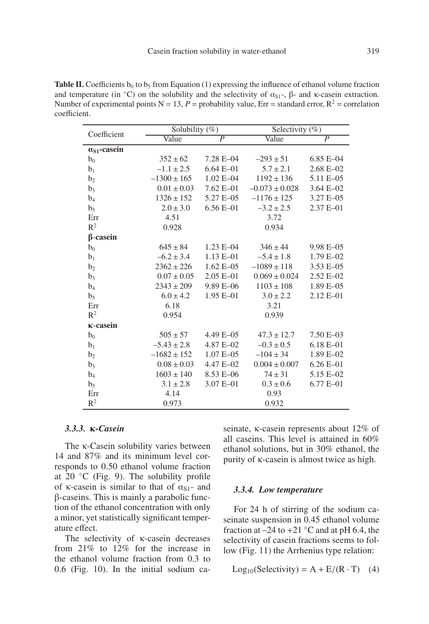**Table II.** Coefficients  $b_0$  to  $b_5$  from Equation (1) expressing the influence of ethanol volume fraction and temperature (in  $°C$ ) on the solubility and the selectivity of  $\alpha_{S1}$ -,  $\beta$ - and κ-casein extraction. Number of experimental points  $N = 13$ ,  $P =$  probability value, Err = standard error,  $R^2 =$  correlation coefficient.

| Coefficient           | Solubility $(\%)$ |                | Selectivity $(\%)$ |                |
|-----------------------|-------------------|----------------|--------------------|----------------|
|                       | Value             | $\overline{P}$ | Value              | $\overline{P}$ |
| $\alpha_{S1}$ -casein |                   |                |                    |                |
| $b_0$                 | $352 \pm 62$      | 7.28 E-04      | $-293 \pm 51$      | $6.85 E - 04$  |
| $b_1$                 | $-1.1 \pm 2.5$    | $6.64 E - 01$  | $5.7 \pm 2.1$      | $2.68 E - 02$  |
| b <sub>2</sub>        | $-1300 \pm 165$   | $1.02 E - 04$  | $1192 \pm 136$     | 5.11 E-05      |
| $b_3$                 | $0.01 \pm 0.03$   | $7.62 E - 01$  | $-0.073 \pm 0.028$ | 3.64 E-02      |
| $b_4$                 | $1326 \pm 152$    | 5.27 E-05      | $-1176 \pm 125$    | 3.27 E-05      |
| b <sub>5</sub>        | $2.0 \pm 3.0$     | $6.56 E - 01$  | $-3.2 \pm 2.5$     | 2.37 E-01      |
| Err                   | 4.51              | 3.72           |                    |                |
| $R^2$                 | 0.928             |                | 0.934              |                |
| $\beta$ -casein       |                   |                |                    |                |
| $b_0$                 | $645 \pm 84$      | $1.23 E - 04$  | $346 \pm 44$       | 9.98 E-05      |
| $b_1$                 | $-6.2 \pm 3.4$    | $1.13 E - 01$  | $-5.4 \pm 1.8$     | $1.79 E - 02$  |
| b <sub>2</sub>        | $2362 \pm 226$    | $1.62 E - 05$  | $-1089 \pm 118$    | 3.53 E-05      |
| $b_3$                 | $0.07 \pm 0.05$   | $2.05 E - 01$  | $0.069 \pm 0.024$  | $2.52 E - 02$  |
| $b_4$                 | $2343 \pm 209$    | 9.89 E-06      | $1103 \pm 108$     | $1.89 E - 05$  |
| b <sub>5</sub>        | $6.0 \pm 4.2$     | $1.95 E - 01$  | $3.0 \pm 2.2$      | $2.12 E - 01$  |
| Err                   | 6.18              | 3.21           |                    |                |
| $\mathbb{R}^2$        | 0.954             |                | 0.939              |                |
| <b>K-casein</b>       |                   |                |                    |                |
| $b_0$                 | $505 \pm 57$      | 4.49 E-05      | $47.3 \pm 12.7$    | $7.50 E - 03$  |
| b <sub>1</sub>        | $-5.43 \pm 2.8$   | 4.87 E-02      | $-0.3 \pm 0.5$     | $6.18 E - 01$  |
| b <sub>2</sub>        | $-1682 \pm 152$   | $1.07 E - 05$  | $-104 \pm 34$      | $1.89 E - 02$  |
| b3                    | $0.08 \pm 0.03$   | 4.47 E-02      | $0.004 \pm 0.007$  | $6.26 E - 01$  |
| $b_4$                 | $1603 \pm 140$    | 8.53 E-06      | $74 \pm 31$        | 5.15 E-02      |
| b <sub>5</sub>        | $3.1 \pm 2.8$     | 3.07 E-01      | $0.3 \pm 0.6$      | $6.77 E - 01$  |
| Err                   | 4.14              |                | 0.93               |                |
| $\mathbb{R}^2$        | 0.973             |                | 0.932              |                |

#### *3.3.3.* κ*-Casein*

The κ-Casein solubility varies between 14 and 87% and its minimum level corresponds to 0.50 ethanol volume fraction at 20  $°C$  (Fig. 9). The solubility profile of  $\kappa$ -casein is similar to that of  $\alpha_{S1}$ - and β-caseins. This is mainly a parabolic function of the ethanol concentration with only a minor, yet statistically significant temperature effect.

The selectivity of κ-casein decreases from 21% to 12% for the increase in the ethanol volume fraction from 0.3 to 0.6 (Fig. 10). In the initial sodium caseinate, κ-casein represents about 12% of all caseins. This level is attained in 60% ethanol solutions, but in 30% ethanol, the purity of κ-casein is almost twice as high.

#### *3.3.4. Low temperature*

For 24 h of stirring of the sodium caseinate suspension in 0.45 ethanol volume fraction at  $-24$  to  $+21$  °C and at pH 6.4, the selectivity of casein fractions seems to follow (Fig. 11) the Arrhenius type relation:

$$
Log10(Selectivity) = A + E/(R \cdot T) \quad (4)
$$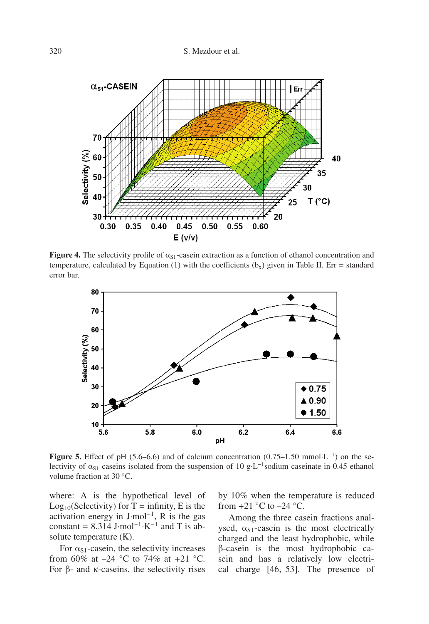

**Figure 4.** The selectivity profile of  $\alpha_{S1}$ -casein extraction as a function of ethanol concentration and temperature, calculated by Equation (1) with the coefficients  $(b_x)$  given in Table II. Err = standard error bar.



**Figure 5.** Effect of pH (5.6–6.6) and of calcium concentration (0.75–1.50 mmol·L−1) on the selectivity of  $\alpha_{S1}$ -caseins isolated from the suspension of 10 g·L<sup>-1</sup>sodium caseinate in 0.45 ethanol volume fraction at 30 ◦C.

where: A is the hypothetical level of Log<sub>10</sub>(Selectivity) for  $T =$  infinity, E is the activation energy in J·mol−1, R is the gas constant =  $8.314$  J·mol<sup>-1</sup>·K<sup>-1</sup> and T is absolute temperature (K).

For  $\alpha_{S1}$ -casein, the selectivity increases from 60% at  $-24$  °C to 74% at  $+21$  °C. For β- and κ-caseins, the selectivity rises

by 10% when the temperature is reduced from  $+21$  °C to  $-24$  °C.

Among the three casein fractions analysed,  $\alpha_{S1}$ -casein is the most electrically charged and the least hydrophobic, while β-casein is the most hydrophobic casein and has a relatively low electrical charge [46, 53]. The presence of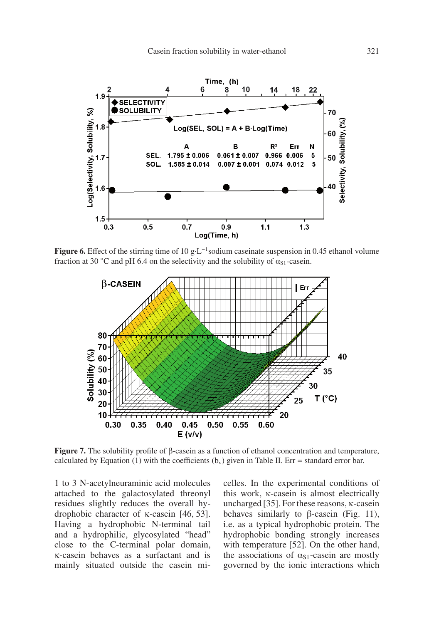

**Figure 6.** Effect of the stirring time of 10 g⋅L<sup>-1</sup> sodium caseinate suspension in 0.45 ethanol volume fraction at 30 °C and pH 6.4 on the selectivity and the solubility of  $\alpha_{S1}$ -casein.



**Figure 7.** The solubility profile of β-casein as a function of ethanol concentration and temperature, calculated by Equation (1) with the coefficients  $(b_x)$  given in Table II. Err = standard error bar.

1 to 3 N-acetylneuraminic acid molecules attached to the galactosylated threonyl residues slightly reduces the overall hydrophobic character of κ-casein [46, 53]. Having a hydrophobic N-terminal tail and a hydrophilic, glycosylated "head" close to the C-terminal polar domain, κ-casein behaves as a surfactant and is mainly situated outside the casein micelles. In the experimental conditions of this work, κ-casein is almost electrically uncharged [35]. For these reasons, κ-casein behaves similarly to  $\beta$ -casein (Fig. 11), i.e. as a typical hydrophobic protein. The hydrophobic bonding strongly increases with temperature [52]. On the other hand, the associations of  $\alpha_{S1}$ -casein are mostly governed by the ionic interactions which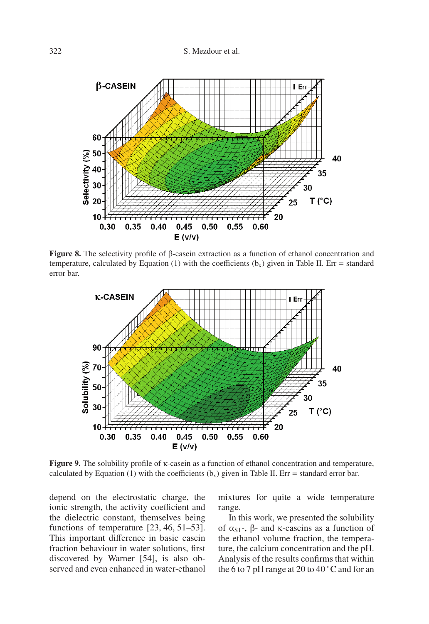

**Figure 8.** The selectivity profile of β-casein extraction as a function of ethanol concentration and temperature, calculated by Equation (1) with the coefficients  $(b_x)$  given in Table II. Err = standard error bar.



**Figure 9.** The solubility profile of κ-casein as a function of ethanol concentration and temperature, calculated by Equation (1) with the coefficients  $(b_x)$  given in Table II. Err = standard error bar.

depend on the electrostatic charge, the ionic strength, the activity coefficient and the dielectric constant, themselves being functions of temperature [23, 46, 51–53]. This important difference in basic casein fraction behaviour in water solutions, first discovered by Warner [54], is also observed and even enhanced in water-ethanol mixtures for quite a wide temperature range.

In this work, we presented the solubility of  $\alpha_{S1}$ -, β- and κ-caseins as a function of the ethanol volume fraction, the temperature, the calcium concentration and the pH. Analysis of the results confirms that within the 6 to 7 pH range at 20 to  $40^{\circ}$ C and for an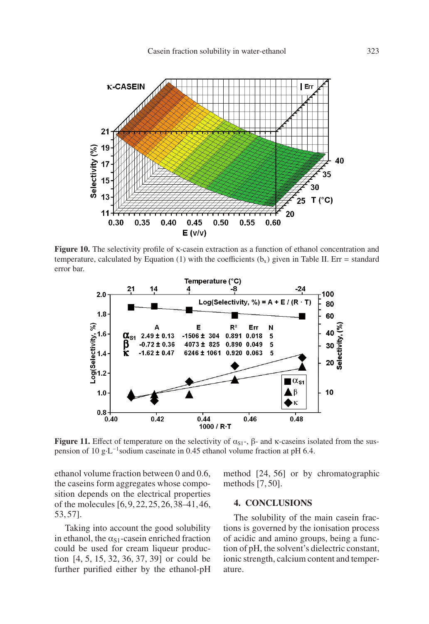

**Figure 10.** The selectivity profile of κ-casein extraction as a function of ethanol concentration and temperature, calculated by Equation (1) with the coefficients  $(b_x)$  given in Table II. Err = standard error bar.



**Figure 11.** Effect of temperature on the selectivity of  $\alpha_{S1}$ -,  $\beta$ - and κ-caseins isolated from the suspension of 10 g⋅L<sup>-1</sup>sodium caseinate in 0.45 ethanol volume fraction at pH 6.4.

ethanol volume fraction between 0 and 0.6, the caseins form aggregates whose composition depends on the electrical properties of the molecules [6,9,22,25,26,38–41,46, 53, 57].

Taking into account the good solubility in ethanol, the  $\alpha_{S1}$ -casein enriched fraction could be used for cream liqueur production [4, 5, 15, 32, 36, 37, 39] or could be further purified either by the ethanol-pH method [24, 56] or by chromatographic methods [7, 50].

#### **4. CONCLUSIONS**

The solubility of the main casein fractions is governed by the ionisation process of acidic and amino groups, being a function of pH, the solvent's dielectric constant, ionic strength, calcium content and temperature.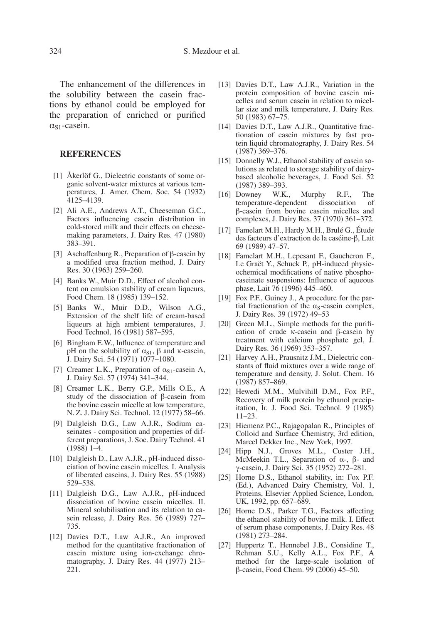The enhancement of the differences in the solubility between the casein fractions by ethanol could be employed for the preparation of enriched or purified  $\alpha_{S1}$ -casein.

#### **REFERENCES**

- [1] Åkerlöf G., Dielectric constants of some organic solvent-water mixtures at various temperatures, J. Amer. Chem. Soc. 54 (1932) 4125–4139.
- [2] Ali A.E., Andrews A.T., Cheeseman G.C., Factors influencing casein distribution in cold-stored milk and their effects on cheesemaking parameters, J. Dairy Res. 47 (1980) 383–391.
- [3] Aschaffenburg R., Preparation of β-casein by a modified urea fraction method, J. Dairy Res. 30 (1963) 259–260.
- [4] Banks W., Muir D.D., Effect of alcohol content on emulsion stability of cream liqueurs, Food Chem. 18 (1985) 139–152.
- [5] Banks W., Muir D.D., Wilson A.G., Extension of the shelf life of cream-based liqueurs at high ambient temperatures, J. Food Technol. 16 (1981) 587–595.
- [6] Bingham E.W., Influence of temperature and pH on the solubility of  $\alpha_{S1}$ , β and κ-casein, J. Dairy Sci. 54 (1971) 1077–1080.
- [7] Creamer L.K., Preparation of  $\alpha_{S1}$ -casein A, J. Dairy Sci. 57 (1974) 341–344.
- [8] Creamer L.K., Berry G.P., Mills O.E., A study of the dissociation of β-casein from the bovine casein micelle at low temperature, N. Z. J. Dairy Sci. Technol. 12 (1977) 58–66.
- [9] Dalgleish D.G., Law A.J.R., Sodium caseinates - composition and properties of different preparations, J. Soc. Dairy Technol. 41 (1988) 1–4.
- [10] Dalgleish D., Law A.J.R., pH-induced dissociation of bovine casein micelles. I. Analysis of liberated caseins, J. Dairy Res. 55 (1988) 529–538.
- [11] Dalgleish D.G., Law A.J.R., pH-induced dissociation of bovine casein micelles. II. Mineral solubilisation and its relation to casein release, J. Dairy Res. 56 (1989) 727– 735.
- [12] Davies D.T., Law A.J.R., An improved method for the quantitative fractionation of casein mixture using ion-exchange chromatography, J. Dairy Res. 44 (1977) 213– 221.
- [13] Davies D.T., Law A.J.R., Variation in the protein composition of bovine casein micelles and serum casein in relation to micellar size and milk temperature, J. Dairy Res. 50 (1983) 67–75.
- [14] Davies D.T., Law A.J.R., Quantitative fractionation of casein mixtures by fast protein liquid chromatography, J. Dairy Res. 54 (1987) 369–376.
- [15] Donnelly W.J., Ethanol stability of casein solutions as related to storage stability of dairybased alcoholic beverages, J. Food Sci. 52 (1987) 389–393.
- [16] Downey W.K., Murphy R.F., The temperature-dependent dissociation of β-casein from bovine casein micelles and complexes, J. Dairy Res. 37 (1970) 361–372.
- [17] Famelart M.H., Hardy M.H., Brulé G., Étude des facteurs d'extraction de la caséine-β, Lait 69 (1989) 47–57.
- [18] Famelart M.H., Lepesant F., Gaucheron F., Le Graët Y., Schuck P., pH-induced physicochemical modifications of native phosphocaseinate suspensions: Influence of aqueous phase, Lait 76 (1996) 445–460.
- [19] Fox P.F., Guiney J., A procedure for the partial fractionation of the  $\alpha_s$ -casein complex, J. Dairy Res. 39 (1972) 49–53
- [20] Green M.L., Simple methods for the purification of crude κ-casein and β-casein by treatment with calcium phosphate gel, J. Dairy Res. 36 (1969) 353–357.
- [21] Harvey A.H., Prausnitz J.M., Dielectric constants of fluid mixtures over a wide range of temperature and density, J. Solut. Chem. 16 (1987) 857–869.
- [22] Hewedi M.M., Mulvihill D.M., Fox P.F., Recovery of milk protein by ethanol precipitation, Ir. J. Food Sci. Technol. 9 (1985) 11–23.
- [23] Hiemenz P.C., Rajagopalan R., Principles of Colloid and Surface Chemistry, 3rd edition, Marcel Dekker Inc., New York, 1997.
- [24] Hipp N.J., Groves M.L., Custer J.H., McMeekin T.L., Separation of  $\alpha$ -,  $\beta$ - and γ-casein, J. Dairy Sci. 35 (1952) 272–281.
- [25] Horne D.S., Ethanol stability, in: Fox P.F. (Ed.), Advanced Dairy Chemistry, Vol. 1, Proteins, Elsevier Applied Science, London, UK, 1992, pp. 657–689.
- [26] Horne D.S., Parker T.G., Factors affecting the ethanol stability of bovine milk. I. Effect of serum phase components, J. Dairy Res. 48 (1981) 273–284.
- [27] Huppertz T., Hennebel J.B., Considine T., Rehman S.U., Kelly A.L., Fox P.F., A method for the large-scale isolation of β-casein, Food Chem. 99 (2006) 45–50.